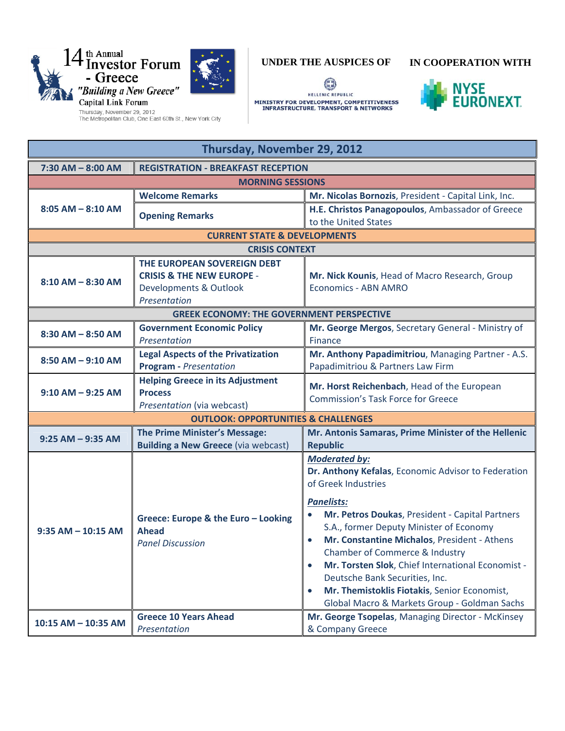



## **UNDER THE AUSPICES OF IN COOPERATION WITH**

0 HELLENIC REPUBLIC MINISTRY FOR DEVELOPMENT, COMPETITIVENESS<br>INFRASTRUCTURE, TRANSPORT & NETWORKS



| Thursday, November 29, 2012 |                                                                                                                          |                                                                                                                                                                                                                                                                                                                                                                                                                                                                                                                                       |  |  |
|-----------------------------|--------------------------------------------------------------------------------------------------------------------------|---------------------------------------------------------------------------------------------------------------------------------------------------------------------------------------------------------------------------------------------------------------------------------------------------------------------------------------------------------------------------------------------------------------------------------------------------------------------------------------------------------------------------------------|--|--|
| $7:30$ AM $-$ 8:00 AM       | <b>REGISTRATION - BREAKFAST RECEPTION</b>                                                                                |                                                                                                                                                                                                                                                                                                                                                                                                                                                                                                                                       |  |  |
| <b>MORNING SESSIONS</b>     |                                                                                                                          |                                                                                                                                                                                                                                                                                                                                                                                                                                                                                                                                       |  |  |
| $8:05$ AM $-$ 8:10 AM       | <b>Welcome Remarks</b>                                                                                                   | Mr. Nicolas Bornozis, President - Capital Link, Inc.                                                                                                                                                                                                                                                                                                                                                                                                                                                                                  |  |  |
|                             | <b>Opening Remarks</b>                                                                                                   | H.E. Christos Panagopoulos, Ambassador of Greece<br>to the United States                                                                                                                                                                                                                                                                                                                                                                                                                                                              |  |  |
|                             | <b>CURRENT STATE &amp; DEVELOPMENTS</b>                                                                                  |                                                                                                                                                                                                                                                                                                                                                                                                                                                                                                                                       |  |  |
|                             | <b>CRISIS CONTEXT</b>                                                                                                    |                                                                                                                                                                                                                                                                                                                                                                                                                                                                                                                                       |  |  |
| $8:10$ AM $-$ 8:30 AM       | THE EUROPEAN SOVEREIGN DEBT<br><b>CRISIS &amp; THE NEW EUROPE -</b><br><b>Developments &amp; Outlook</b><br>Presentation | Mr. Nick Kounis, Head of Macro Research, Group<br><b>Economics - ABN AMRO</b>                                                                                                                                                                                                                                                                                                                                                                                                                                                         |  |  |
|                             | <b>GREEK ECONOMY: THE GOVERNMENT PERSPECTIVE</b>                                                                         |                                                                                                                                                                                                                                                                                                                                                                                                                                                                                                                                       |  |  |
| $8:30$ AM $-$ 8:50 AM       | <b>Government Economic Policy</b><br>Presentation                                                                        | Mr. George Mergos, Secretary General - Ministry of<br>Finance                                                                                                                                                                                                                                                                                                                                                                                                                                                                         |  |  |
| $8:50$ AM $-9:10$ AM        | <b>Legal Aspects of the Privatization</b><br><b>Program</b> - Presentation                                               | Mr. Anthony Papadimitriou, Managing Partner - A.S.<br>Papadimitriou & Partners Law Firm                                                                                                                                                                                                                                                                                                                                                                                                                                               |  |  |
| $9:10$ AM $-$ 9:25 AM       | <b>Helping Greece in its Adjustment</b><br><b>Process</b><br>Presentation (via webcast)                                  | Mr. Horst Reichenbach, Head of the European<br><b>Commission's Task Force for Greece</b>                                                                                                                                                                                                                                                                                                                                                                                                                                              |  |  |
|                             | <b>OUTLOOK: OPPORTUNITIES &amp; CHALLENGES</b>                                                                           |                                                                                                                                                                                                                                                                                                                                                                                                                                                                                                                                       |  |  |
| $9:25 AM - 9:35 AM$         | The Prime Minister's Message:<br><b>Building a New Greece (via webcast)</b>                                              | Mr. Antonis Samaras, Prime Minister of the Hellenic<br><b>Republic</b>                                                                                                                                                                                                                                                                                                                                                                                                                                                                |  |  |
| $9:35$ AM $-$ 10:15 AM      | Greece: Europe & the Euro - Looking<br><b>Ahead</b><br><b>Panel Discussion</b>                                           | <b>Moderated by:</b><br>Dr. Anthony Kefalas, Economic Advisor to Federation<br>of Greek Industries<br><b>Panelists:</b><br>Mr. Petros Doukas, President - Capital Partners<br>S.A., former Deputy Minister of Economy<br>Mr. Constantine Michalos, President - Athens<br>$\bullet$<br>Chamber of Commerce & Industry<br>Mr. Torsten Slok, Chief International Economist -<br>$\bullet$<br>Deutsche Bank Securities, Inc.<br>Mr. Themistoklis Fiotakis, Senior Economist,<br>$\bullet$<br>Global Macro & Markets Group - Goldman Sachs |  |  |
| 10:15 AM - 10:35 AM         | <b>Greece 10 Years Ahead</b><br>Presentation                                                                             | Mr. George Tsopelas, Managing Director - McKinsey<br>& Company Greece                                                                                                                                                                                                                                                                                                                                                                                                                                                                 |  |  |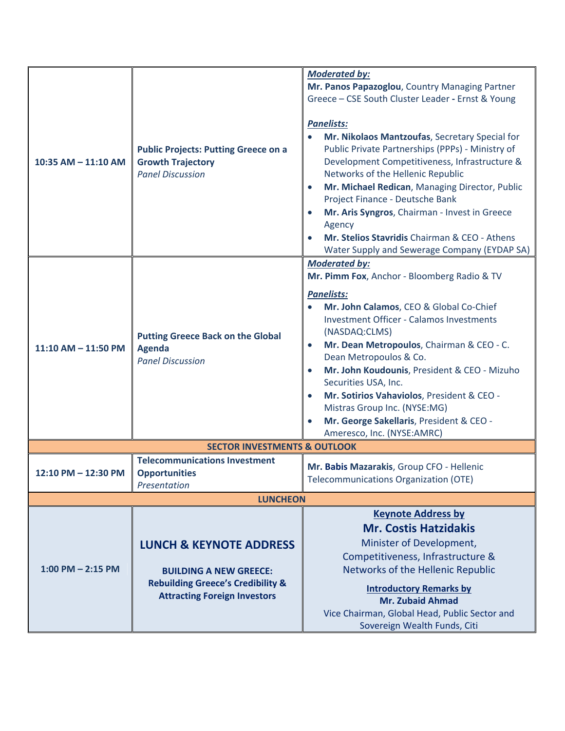| 10:35 AM - 11:10 AM                     | <b>Public Projects: Putting Greece on a</b><br><b>Growth Trajectory</b><br><b>Panel Discussion</b>                                                         | <b>Moderated by:</b><br>Mr. Panos Papazoglou, Country Managing Partner<br>Greece - CSE South Cluster Leader - Ernst & Young<br><b>Panelists:</b><br>Mr. Nikolaos Mantzoufas, Secretary Special for<br>Public Private Partnerships (PPPs) - Ministry of<br>Development Competitiveness, Infrastructure &<br>Networks of the Hellenic Republic<br>Mr. Michael Redican, Managing Director, Public<br>$\bullet$<br>Project Finance - Deutsche Bank<br>Mr. Aris Syngros, Chairman - Invest in Greece<br>$\bullet$<br>Agency<br>Mr. Stelios Stavridis Chairman & CEO - Athens<br>Water Supply and Sewerage Company (EYDAP SA) |  |  |
|-----------------------------------------|------------------------------------------------------------------------------------------------------------------------------------------------------------|-------------------------------------------------------------------------------------------------------------------------------------------------------------------------------------------------------------------------------------------------------------------------------------------------------------------------------------------------------------------------------------------------------------------------------------------------------------------------------------------------------------------------------------------------------------------------------------------------------------------------|--|--|
| 11:10 AM - 11:50 PM                     | <b>Putting Greece Back on the Global</b><br><b>Agenda</b><br><b>Panel Discussion</b>                                                                       | <b>Moderated by:</b><br>Mr. Pimm Fox, Anchor - Bloomberg Radio & TV<br><b>Panelists:</b><br>Mr. John Calamos, CEO & Global Co-Chief<br><b>Investment Officer - Calamos Investments</b><br>(NASDAQ:CLMS)<br>Mr. Dean Metropoulos, Chairman & CEO - C.<br>$\bullet$<br>Dean Metropoulos & Co.<br>Mr. John Koudounis, President & CEO - Mizuho<br>$\bullet$<br>Securities USA, Inc.<br>Mr. Sotirios Vahaviolos, President & CEO -<br>$\bullet$<br>Mistras Group Inc. (NYSE:MG)<br>Mr. George Sakellaris, President & CEO -<br>$\bullet$<br>Ameresco, Inc. (NYSE:AMRC)                                                      |  |  |
| <b>SECTOR INVESTMENTS &amp; OUTLOOK</b> |                                                                                                                                                            |                                                                                                                                                                                                                                                                                                                                                                                                                                                                                                                                                                                                                         |  |  |
| 12:10 PM - 12:30 PM                     | <b>Telecommunications Investment</b><br><b>Opportunities</b><br>Presentation                                                                               | Mr. Babis Mazarakis, Group CFO - Hellenic<br><b>Telecommunications Organization (OTE)</b>                                                                                                                                                                                                                                                                                                                                                                                                                                                                                                                               |  |  |
| <b>LUNCHEON</b>                         |                                                                                                                                                            |                                                                                                                                                                                                                                                                                                                                                                                                                                                                                                                                                                                                                         |  |  |
| $1:00$ PM $- 2:15$ PM                   | <b>LUNCH &amp; KEYNOTE ADDRESS</b><br><b>BUILDING A NEW GREECE:</b><br><b>Rebuilding Greece's Credibility &amp;</b><br><b>Attracting Foreign Investors</b> | <b>Keynote Address by</b><br><b>Mr. Costis Hatzidakis</b><br>Minister of Development,<br>Competitiveness, Infrastructure &<br>Networks of the Hellenic Republic<br><b>Introductory Remarks by</b><br><b>Mr. Zubaid Ahmad</b><br>Vice Chairman, Global Head, Public Sector and<br>Sovereign Wealth Funds, Citi                                                                                                                                                                                                                                                                                                           |  |  |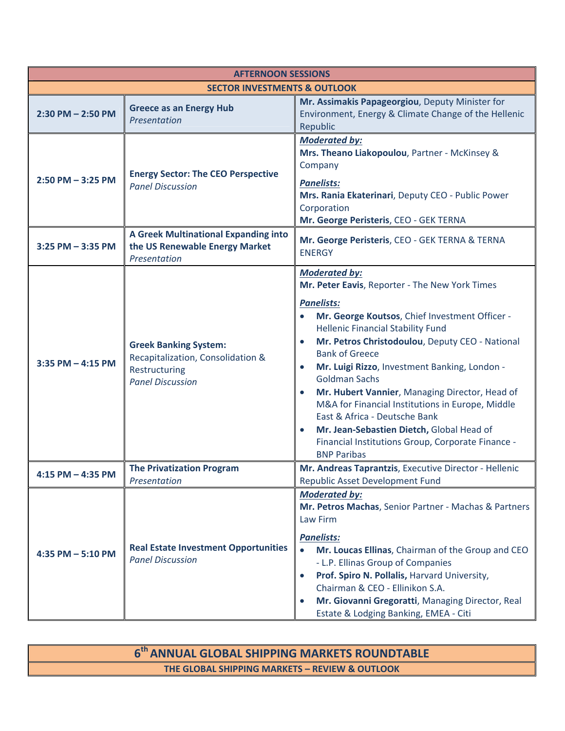| <b>AFTERNOON SESSIONS</b>               |                                                                                                               |                                                                                                                                                                                                                                                                                                                                                                                                                                                                                                                                                                                                                                                                   |  |  |
|-----------------------------------------|---------------------------------------------------------------------------------------------------------------|-------------------------------------------------------------------------------------------------------------------------------------------------------------------------------------------------------------------------------------------------------------------------------------------------------------------------------------------------------------------------------------------------------------------------------------------------------------------------------------------------------------------------------------------------------------------------------------------------------------------------------------------------------------------|--|--|
| <b>SECTOR INVESTMENTS &amp; OUTLOOK</b> |                                                                                                               |                                                                                                                                                                                                                                                                                                                                                                                                                                                                                                                                                                                                                                                                   |  |  |
| $2:30$ PM $- 2:50$ PM                   | <b>Greece as an Energy Hub</b><br>Presentation                                                                | Mr. Assimakis Papageorgiou, Deputy Minister for<br>Environment, Energy & Climate Change of the Hellenic<br>Republic                                                                                                                                                                                                                                                                                                                                                                                                                                                                                                                                               |  |  |
| $2:50$ PM $-3:25$ PM                    | <b>Energy Sector: The CEO Perspective</b><br><b>Panel Discussion</b>                                          | <b>Moderated by:</b><br>Mrs. Theano Liakopoulou, Partner - McKinsey &<br>Company<br><b>Panelists:</b><br>Mrs. Rania Ekaterinari, Deputy CEO - Public Power<br>Corporation<br>Mr. George Peristeris, CEO - GEK TERNA                                                                                                                                                                                                                                                                                                                                                                                                                                               |  |  |
| 3:25 PM - 3:35 PM                       | A Greek Multinational Expanding into<br>the US Renewable Energy Market<br>Presentation                        | Mr. George Peristeris, CEO - GEK TERNA & TERNA<br><b>ENERGY</b>                                                                                                                                                                                                                                                                                                                                                                                                                                                                                                                                                                                                   |  |  |
| $3:35$ PM $-$ 4:15 PM                   | <b>Greek Banking System:</b><br>Recapitalization, Consolidation &<br>Restructuring<br><b>Panel Discussion</b> | <b>Moderated by:</b><br>Mr. Peter Eavis, Reporter - The New York Times<br><b>Panelists:</b><br>Mr. George Koutsos, Chief Investment Officer -<br><b>Hellenic Financial Stability Fund</b><br>Mr. Petros Christodoulou, Deputy CEO - National<br>$\bullet$<br><b>Bank of Greece</b><br>Mr. Luigi Rizzo, Investment Banking, London -<br>$\bullet$<br><b>Goldman Sachs</b><br>Mr. Hubert Vannier, Managing Director, Head of<br>$\bullet$<br>M&A for Financial Institutions in Europe, Middle<br>East & Africa - Deutsche Bank<br>Mr. Jean-Sebastien Dietch, Global Head of<br>$\bullet$<br>Financial Institutions Group, Corporate Finance -<br><b>BNP Paribas</b> |  |  |
| $4:15$ PM $- 4:35$ PM                   | <b>The Privatization Program</b><br>Presentation                                                              | Mr. Andreas Taprantzis, Executive Director - Hellenic<br>Republic Asset Development Fund                                                                                                                                                                                                                                                                                                                                                                                                                                                                                                                                                                          |  |  |
| 4:35 PM - 5:10 PM                       | <b>Real Estate Investment Opportunities</b><br><b>Panel Discussion</b>                                        | <b>Moderated by:</b><br>Mr. Petros Machas, Senior Partner - Machas & Partners<br>Law Firm<br><b>Panelists:</b><br>$\bullet$<br>Mr. Loucas Ellinas, Chairman of the Group and CEO<br>- L.P. Ellinas Group of Companies<br>Prof. Spiro N. Pollalis, Harvard University,<br>$\bullet$<br>Chairman & CEO - Ellinikon S.A.<br>Mr. Giovanni Gregoratti, Managing Director, Real<br>$\bullet$<br>Estate & Lodging Banking, EMEA - Citi                                                                                                                                                                                                                                   |  |  |

 $6<sup>th</sup>$  ANNUAL GLOBAL SHIPPING MARKETS ROUNDTABLE **THE GLOBAL SHIPPING MARKETS – REVIEW & OUTLOOK**